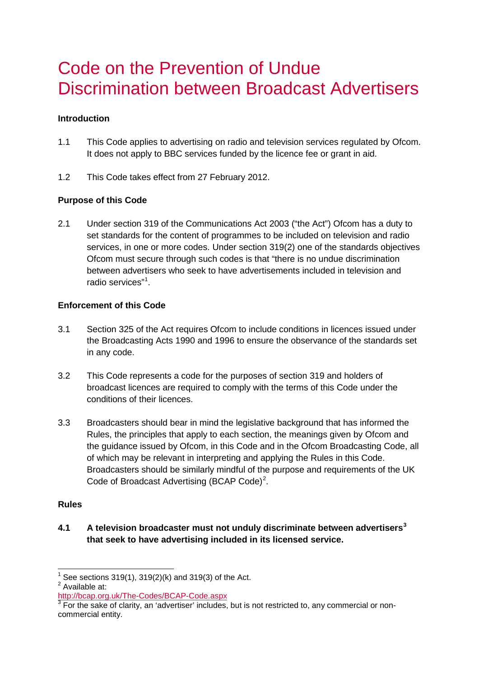# Code on the Prevention of Undue Discrimination between Broadcast Advertisers

## **Introduction**

- 1.1 This Code applies to advertising on radio and television services regulated by Ofcom. It does not apply to BBC services funded by the licence fee or grant in aid.
- 1.2 This Code takes effect from 27 February 2012.

## **Purpose of this Code**

2.1 Under section 319 of the Communications Act 2003 ("the Act") Ofcom has a duty to set standards for the content of programmes to be included on television and radio services, in one or more codes. Under section 319(2) one of the standards objectives Ofcom must secure through such codes is that "there is no undue discrimination between advertisers who seek to have advertisements included in television and radio services"<sup>[1](#page-0-0)</sup>.

## **Enforcement of this Code**

- 3.1 Section 325 of the Act requires Ofcom to include conditions in licences issued under the Broadcasting Acts 1990 and 1996 to ensure the observance of the standards set in any code.
- 3.2 This Code represents a code for the purposes of section 319 and holders of broadcast licences are required to comply with the terms of this Code under the conditions of their licences.
- 3.3 Broadcasters should bear in mind the legislative background that has informed the Rules, the principles that apply to each section, the meanings given by Ofcom and the guidance issued by Ofcom, in this Code and in the Ofcom Broadcasting Code, all of which may be relevant in interpreting and applying the Rules in this Code. Broadcasters should be similarly mindful of the purpose and requirements of the UK Code of Broadcast Advertising (BCAP Code)<sup>[2](#page-0-1)</sup>.

#### **Rules**

**4.1 A television broadcaster must not unduly discriminate between advertisers[3](#page-0-2) that seek to have advertising included in its licensed service.**

<span id="page-0-0"></span>See sections 319(1), 319(2)(k) and 319(3) of the Act.

<span id="page-0-1"></span><sup>2&</sup>lt;br>Available at:<br>http://bcap.org.uk/The-Codes/BCAP-Code.aspx

<span id="page-0-2"></span><sup>&</sup>lt;sup>3</sup> For the sake of clarity, an 'advertiser' includes, but is not restricted to, any commercial or noncommercial entity.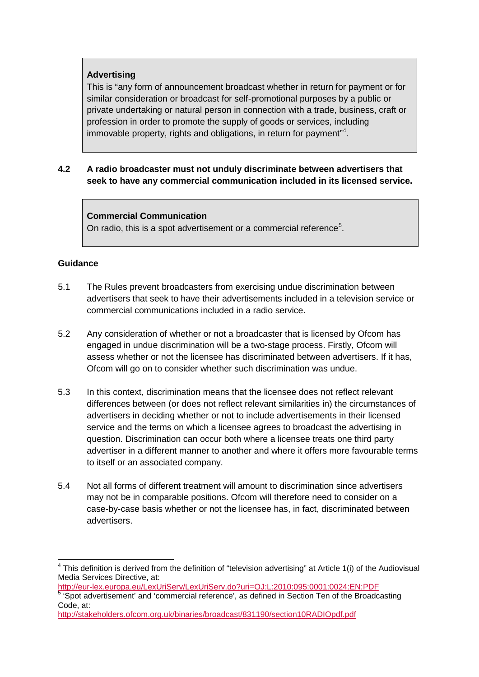## **Advertising**

This is "any form of announcement broadcast whether in return for payment or for similar consideration or broadcast for self-promotional purposes by a public or private undertaking or natural person in connection with a trade, business, craft or profession in order to promote the supply of goods or services, including immovable property, rights and obligations, in return for payment"<sup>[4](#page-1-0)</sup>.

## **4.2 A radio broadcaster must not unduly discriminate between advertisers that seek to have any commercial communication included in its licensed service.**

## **Commercial Communication**

On radio, this is a spot advertisement or a commercial reference $5$ .

## **Guidance**

- 5.1 The Rules prevent broadcasters from exercising undue discrimination between advertisers that seek to have their advertisements included in a television service or commercial communications included in a radio service.
- 5.2 Any consideration of whether or not a broadcaster that is licensed by Ofcom has engaged in undue discrimination will be a two-stage process. Firstly, Ofcom will assess whether or not the licensee has discriminated between advertisers. If it has, Ofcom will go on to consider whether such discrimination was undue.
- 5.3 In this context, discrimination means that the licensee does not reflect relevant differences between (or does not reflect relevant similarities in) the circumstances of advertisers in deciding whether or not to include advertisements in their licensed service and the terms on which a licensee agrees to broadcast the advertising in question. Discrimination can occur both where a licensee treats one third party advertiser in a different manner to another and where it offers more favourable terms to itself or an associated company.
- 5.4 Not all forms of different treatment will amount to discrimination since advertisers may not be in comparable positions. Ofcom will therefore need to consider on a case-by-case basis whether or not the licensee has, in fact, discriminated between advertisers.

<span id="page-1-0"></span> $4$  This definition is derived from the definition of "television advertising" at Article 1(i) of the Audiovisual Media Services Directive, at:<br>http://eur-lex.europa.eu/LexUriServ/LexUriServ.do?uri=OJ:L:2010:095:0001:0024:EN:PDF

<span id="page-1-1"></span>http://eur.europa.europa.europa.europa.europa.europa.europa.europa.europa.europa.europa.europa.europa.europa.e<br>5 'Spot advertisement' and 'commercial reference', as defined in Section Ten of the Broadcasting Code, at:

<http://stakeholders.ofcom.org.uk/binaries/broadcast/831190/section10RADIOpdf.pdf>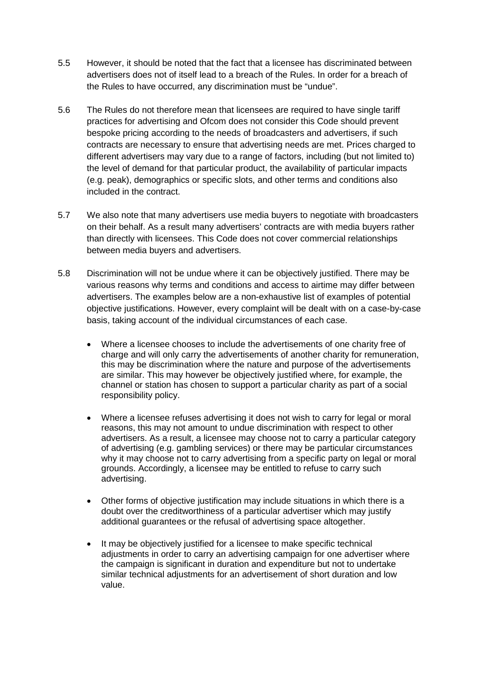- 5.5 However, it should be noted that the fact that a licensee has discriminated between advertisers does not of itself lead to a breach of the Rules. In order for a breach of the Rules to have occurred, any discrimination must be "undue".
- 5.6 The Rules do not therefore mean that licensees are required to have single tariff practices for advertising and Ofcom does not consider this Code should prevent bespoke pricing according to the needs of broadcasters and advertisers, if such contracts are necessary to ensure that advertising needs are met. Prices charged to different advertisers may vary due to a range of factors, including (but not limited to) the level of demand for that particular product, the availability of particular impacts (e.g. peak), demographics or specific slots, and other terms and conditions also included in the contract.
- 5.7 We also note that many advertisers use media buyers to negotiate with broadcasters on their behalf. As a result many advertisers' contracts are with media buyers rather than directly with licensees. This Code does not cover commercial relationships between media buyers and advertisers.
- 5.8 Discrimination will not be undue where it can be objectively justified. There may be various reasons why terms and conditions and access to airtime may differ between advertisers. The examples below are a non-exhaustive list of examples of potential objective justifications. However, every complaint will be dealt with on a case-by-case basis, taking account of the individual circumstances of each case.
	- Where a licensee chooses to include the advertisements of one charity free of charge and will only carry the advertisements of another charity for remuneration, this may be discrimination where the nature and purpose of the advertisements are similar. This may however be objectively justified where, for example, the channel or station has chosen to support a particular charity as part of a social responsibility policy.
	- Where a licensee refuses advertising it does not wish to carry for legal or moral reasons, this may not amount to undue discrimination with respect to other advertisers. As a result, a licensee may choose not to carry a particular category of advertising (e.g. gambling services) or there may be particular circumstances why it may choose not to carry advertising from a specific party on legal or moral grounds. Accordingly, a licensee may be entitled to refuse to carry such advertising.
	- Other forms of objective justification may include situations in which there is a doubt over the creditworthiness of a particular advertiser which may justify additional guarantees or the refusal of advertising space altogether.
	- It may be objectively justified for a licensee to make specific technical adjustments in order to carry an advertising campaign for one advertiser where the campaign is significant in duration and expenditure but not to undertake similar technical adjustments for an advertisement of short duration and low value.